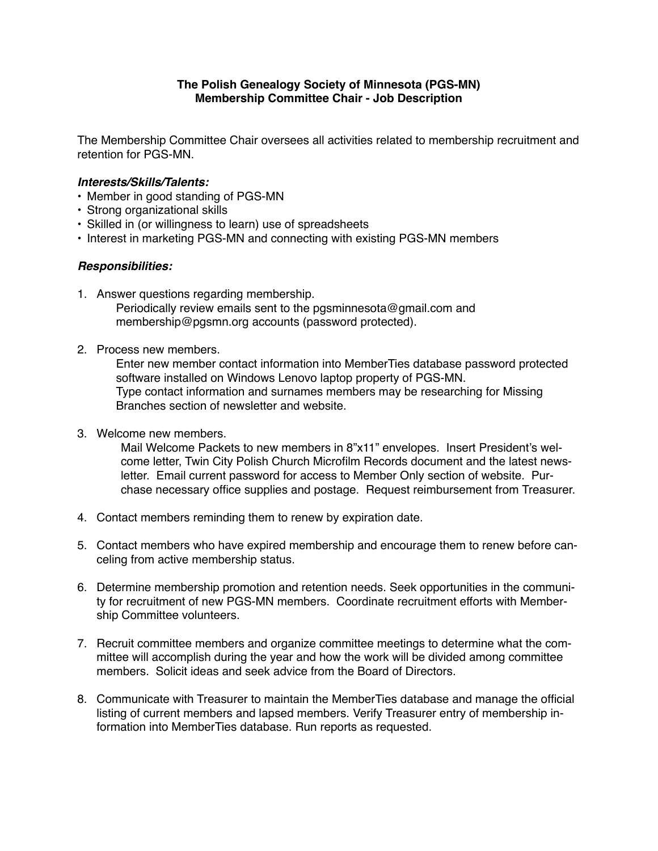## **The Polish Genealogy Society of Minnesota (PGS-MN) Membership Committee Chair - Job Description**

The Membership Committee Chair oversees all activities related to membership recruitment and retention for PGS-MN.

## *Interests/Skills/Talents:*

- Member in good standing of PGS-MN
- Strong organizational skills
- Skilled in (or willingness to learn) use of spreadsheets
- Interest in marketing PGS-MN and connecting with existing PGS-MN members

## *Responsibilities:*

- 1. Answer questions regarding membership. Periodically review emails sent to the pgsminnesota@gmail.com and membership@pgsmn.org accounts (password protected).
- 2. Process new members.

Enter new member contact information into MemberTies database password protected software installed on Windows Lenovo laptop property of PGS-MN. Type contact information and surnames members may be researching for Missing Branches section of newsletter and website.

3. Welcome new members.

Mail Welcome Packets to new members in 8"x11" envelopes. Insert President's welcome letter, Twin City Polish Church Microfilm Records document and the latest newsletter. Email current password for access to Member Only section of website. Purchase necessary office supplies and postage. Request reimbursement from Treasurer.

- 4. Contact members reminding them to renew by expiration date.
- 5. Contact members who have expired membership and encourage them to renew before canceling from active membership status.
- 6. Determine membership promotion and retention needs. Seek opportunities in the community for recruitment of new PGS-MN members. Coordinate recruitment efforts with Membership Committee volunteers.
- 7. Recruit committee members and organize committee meetings to determine what the committee will accomplish during the year and how the work will be divided among committee members. Solicit ideas and seek advice from the Board of Directors.
- 8. Communicate with Treasurer to maintain the MemberTies database and manage the official listing of current members and lapsed members. Verify Treasurer entry of membership information into MemberTies database. Run reports as requested.